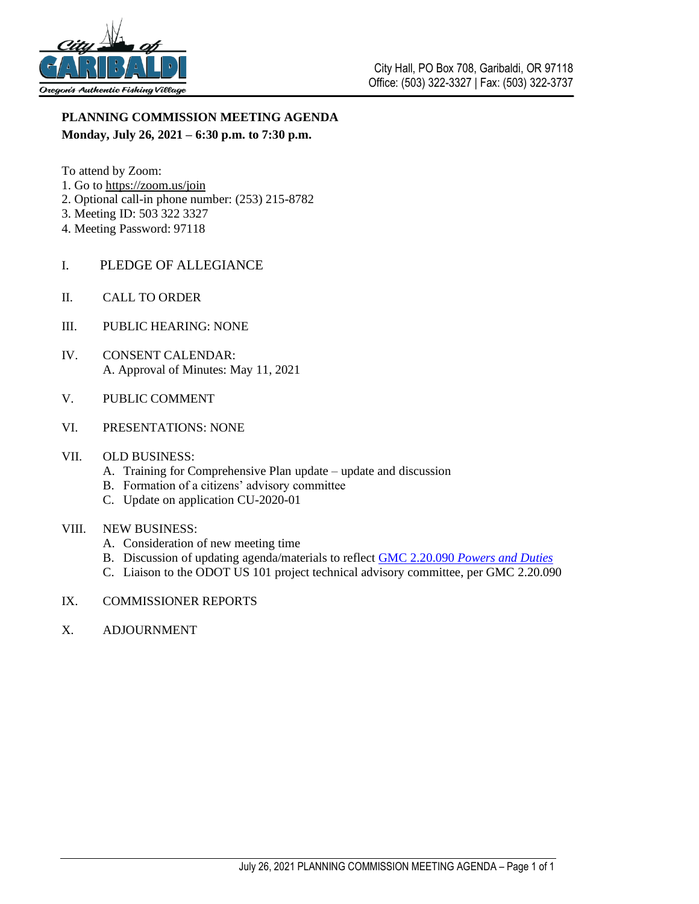

## **PLANNING COMMISSION MEETING AGENDA Monday, July 26, 2021 – 6:30 p.m. to 7:30 p.m.**

- To attend by Zoom:
- 1. Go to <https://zoom.us/join>
- 2. Optional call-in phone number: (253) 215-8782
- 3. Meeting ID: 503 322 3327
- 4. Meeting Password: 97118
- I. PLEDGE OF ALLEGIANCE
- II. CALL TO ORDER
- III. PUBLIC HEARING: NONE
- IV. CONSENT CALENDAR: A. Approval of Minutes: May 11, 2021
- V. PUBLIC COMMENT
- VI. PRESENTATIONS: NONE
- VII. OLD BUSINESS:
	- A. Training for Comprehensive Plan update update and discussion
	- B. Formation of a citizens' advisory committee
	- C. Update on application CU-2020-01

#### VIII. NEW BUSINESS:

- A. Consideration of new meeting time
- B. Discussion of updating agenda/materials to reflect GMC 2.20.090 *[Powers and Duties](https://www.codepublishing.com/OR/Garibaldi/#!/Garibaldi02/Garibaldi0220.html)*
- C. Liaison to the ODOT US 101 project technical advisory committee, per GMC 2.20.090
- IX. COMMISSIONER REPORTS
- X. ADJOURNMENT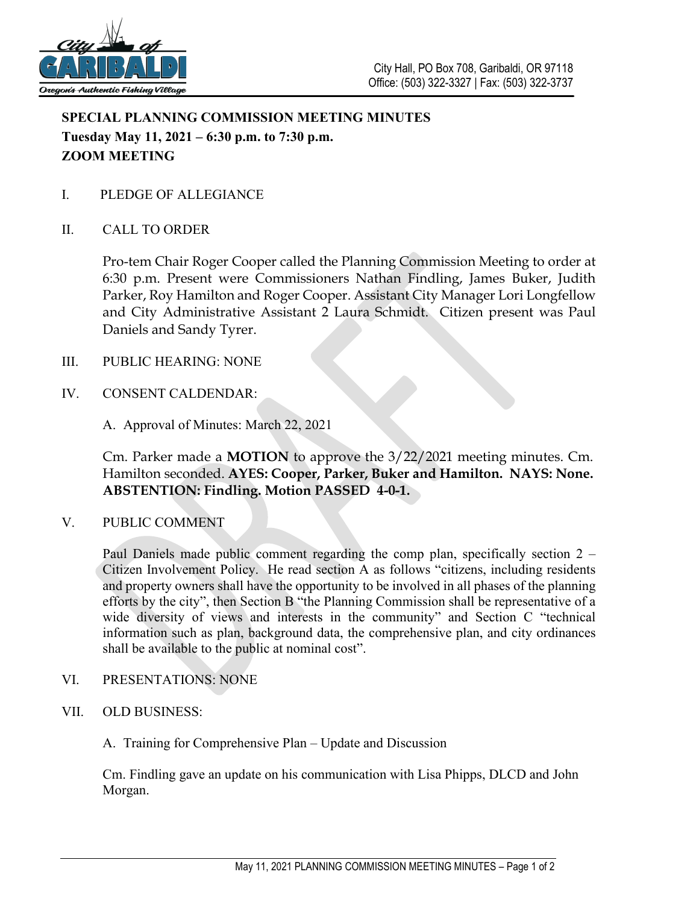

# **SPECIAL PLANNING COMMISSION MEETING MINUTES Tuesday May 11, 2021 – 6:30 p.m. to 7:30 p.m. ZOOM MEETING**

I. PLEDGE OF ALLEGIANCE

## II. CALL TO ORDER

Pro-tem Chair Roger Cooper called the Planning Commission Meeting to order at 6:30 p.m. Present were Commissioners Nathan Findling, James Buker, Judith Parker, Roy Hamilton and Roger Cooper. Assistant City Manager Lori Longfellow and City Administrative Assistant 2 Laura Schmidt. Citizen present was Paul Daniels and Sandy Tyrer.

#### III. PUBLIC HEARING: NONE

- IV. CONSENT CALDENDAR:
	- A. Approval of Minutes: March 22, 2021

Cm. Parker made a **MOTION** to approve the 3/22/2021 meeting minutes. Cm. Hamilton seconded. **AYES: Cooper, Parker, Buker and Hamilton. NAYS: None. ABSTENTION: Findling. Motion PASSED 4-0-1.**

V. PUBLIC COMMENT

Paul Daniels made public comment regarding the comp plan, specifically section 2 – Citizen Involvement Policy. He read section A as follows "citizens, including residents and property owners shall have the opportunity to be involved in all phases of the planning efforts by the city", then Section B "the Planning Commission shall be representative of a wide diversity of views and interests in the community" and Section C "technical information such as plan, background data, the comprehensive plan, and city ordinances shall be available to the public at nominal cost".

- VI. PRESENTATIONS: NONE
- VII. OLD BUSINESS:
	- A. Training for Comprehensive Plan Update and Discussion

Cm. Findling gave an update on his communication with Lisa Phipps, DLCD and John Morgan.